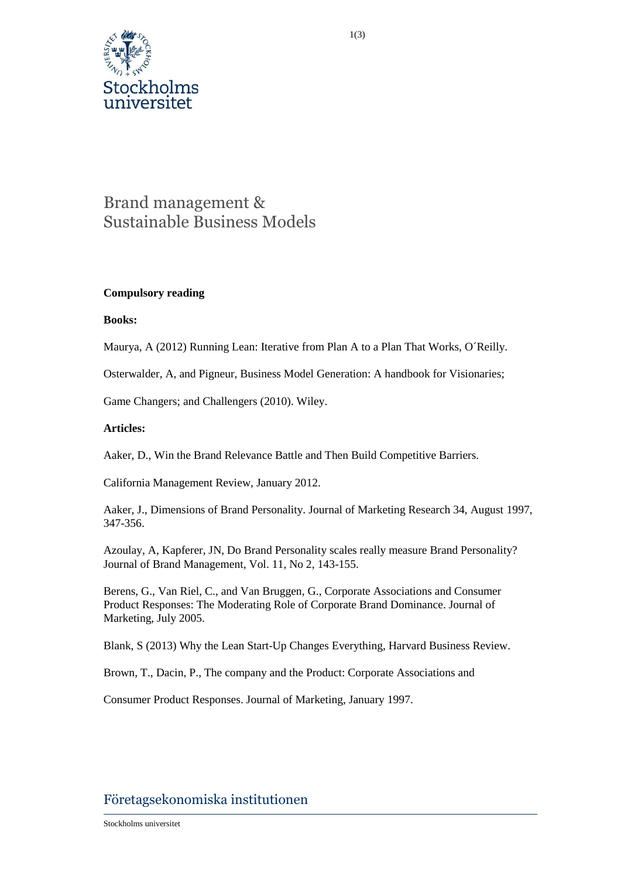

# Brand management & Sustainable Business Models

## **Compulsory reading**

#### **Books:**

Maurya, A (2012) Running Lean: Iterative from Plan A to a Plan That Works, O´Reilly.

Osterwalder, A, and Pigneur, Business Model Generation: A handbook for Visionaries;

Game Changers; and Challengers (2010). Wiley.

## **Articles:**

Aaker, D., Win the Brand Relevance Battle and Then Build Competitive Barriers.

California Management Review, January 2012.

Aaker, J., Dimensions of Brand Personality. Journal of Marketing Research 34, August 1997, 347-356.

Azoulay, A, Kapferer, JN, Do Brand Personality scales really measure Brand Personality? Journal of Brand Management, Vol. 11, No 2, 143-155.

Berens, G., Van Riel, C., and Van Bruggen, G., Corporate Associations and Consumer Product Responses: The Moderating Role of Corporate Brand Dominance. Journal of Marketing, July 2005.

Blank, S (2013) Why the Lean Start-Up Changes Everything, Harvard Business Review.

Brown, T., Dacin, P., The company and the Product: Corporate Associations and

Consumer Product Responses. Journal of Marketing, January 1997.

# Företagsekonomiska institutionen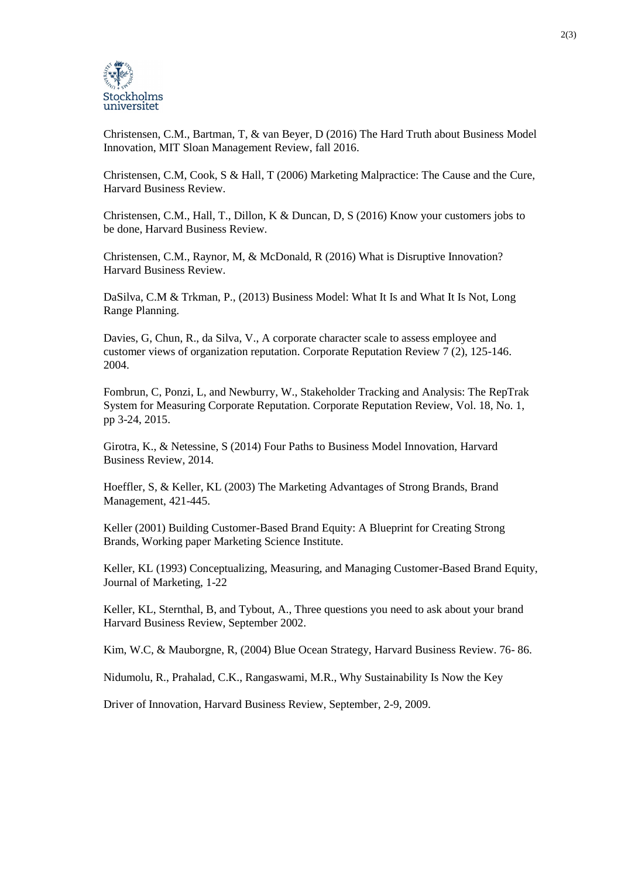

Christensen, C.M., Bartman, T, & van Beyer, D (2016) The Hard Truth about Business Model Innovation, MIT Sloan Management Review, fall 2016.

Christensen, C.M, Cook, S & Hall, T (2006) Marketing Malpractice: The Cause and the Cure, Harvard Business Review.

Christensen, C.M., Hall, T., Dillon, K & Duncan, D, S (2016) Know your customers jobs to be done, Harvard Business Review.

Christensen, C.M., Raynor, M, & McDonald, R (2016) What is Disruptive Innovation? Harvard Business Review.

DaSilva, C.M & Trkman, P., (2013) Business Model: What It Is and What It Is Not, Long Range Planning.

Davies, G, Chun, R., da Silva, V., A corporate character scale to assess employee and customer views of organization reputation. Corporate Reputation Review 7 (2), 125-146. 2004.

Fombrun, C, Ponzi, L, and Newburry, W., Stakeholder Tracking and Analysis: The RepTrak System for Measuring Corporate Reputation. Corporate Reputation Review, Vol. 18, No. 1, pp 3-24, 2015.

Girotra, K., & Netessine, S (2014) Four Paths to Business Model Innovation, Harvard Business Review, 2014.

Hoeffler, S, & Keller, KL (2003) The Marketing Advantages of Strong Brands, Brand Management, 421-445.

Keller (2001) Building Customer-Based Brand Equity: A Blueprint for Creating Strong Brands, Working paper Marketing Science Institute.

Keller, KL (1993) Conceptualizing, Measuring, and Managing Customer-Based Brand Equity, Journal of Marketing, 1-22

Keller, KL, Sternthal, B, and Tybout, A., Three questions you need to ask about your brand Harvard Business Review, September 2002.

Kim, W.C, & Mauborgne, R, (2004) Blue Ocean Strategy, Harvard Business Review. 76- 86.

Nidumolu, R., Prahalad, C.K., Rangaswami, M.R., Why Sustainability Is Now the Key

Driver of Innovation, Harvard Business Review, September, 2-9, 2009.